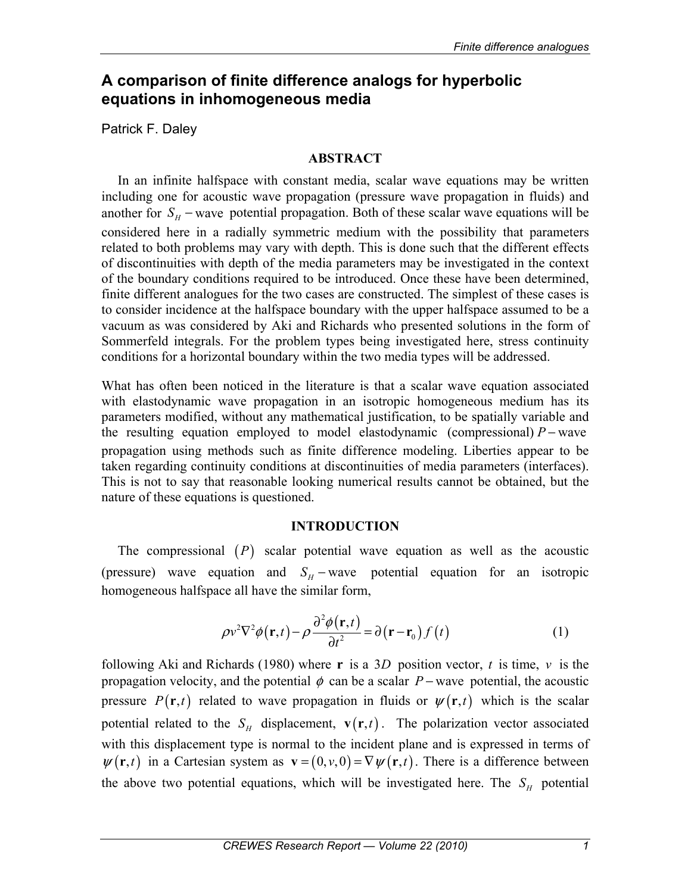# **A comparison of finite difference analogs for hyperbolic equations in inhomogeneous media**

Patrick F. Daley

## **ABSTRACT**

In an infinite halfspace with constant media, scalar wave equations may be written including one for acoustic wave propagation (pressure wave propagation in fluids) and another for  $S_H$  – wave potential propagation. Both of these scalar wave equations will be considered here in a radially symmetric medium with the possibility that parameters related to both problems may vary with depth. This is done such that the different effects of discontinuities with depth of the media parameters may be investigated in the context of the boundary conditions required to be introduced. Once these have been determined, finite different analogues for the two cases are constructed. The simplest of these cases is to consider incidence at the halfspace boundary with the upper halfspace assumed to be a vacuum as was considered by Aki and Richards who presented solutions in the form of Sommerfeld integrals. For the problem types being investigated here, stress continuity conditions for a horizontal boundary within the two media types will be addressed.

What has often been noticed in the literature is that a scalar wave equation associated with elastodynamic wave propagation in an isotropic homogeneous medium has its parameters modified, without any mathematical justification, to be spatially variable and the resulting equation employed to model elastodynamic (compressional)  $P$  − wave propagation using methods such as finite difference modeling. Liberties appear to be taken regarding continuity conditions at discontinuities of media parameters (interfaces). This is not to say that reasonable looking numerical results cannot be obtained, but the nature of these equations is questioned.

# **INTRODUCTION**

The compressional  $(P)$  scalar potential wave equation as well as the acoustic (pressure) wave equation and  $S_H$  – wave potential equation for an isotropic homogeneous halfspace all have the similar form,

$$
\rho v^2 \nabla^2 \phi(\mathbf{r}, t) - \rho \frac{\partial^2 \phi(\mathbf{r}, t)}{\partial t^2} = \partial(\mathbf{r} - \mathbf{r}_0) f(t)
$$
(1)

following Aki and Richards (1980) where **r** is a 3*D* position vector, *t* is time, *v* is the propagation velocity, and the potential  $\phi$  can be a scalar *P* − wave potential, the acoustic pressure  $P(\mathbf{r}, t)$  related to wave propagation in fluids or  $\psi(\mathbf{r}, t)$  which is the scalar potential related to the  $S_H$  displacement,  $\mathbf{v}(\mathbf{r},t)$ . The polarization vector associated with this displacement type is normal to the incident plane and is expressed in terms of  $\psi(\mathbf{r},t)$  in a Cartesian system as  $\mathbf{v} = (0, v, 0) = \nabla \psi(\mathbf{r}, t)$ . There is a difference between the above two potential equations, which will be investigated here. The  $S_H$  potential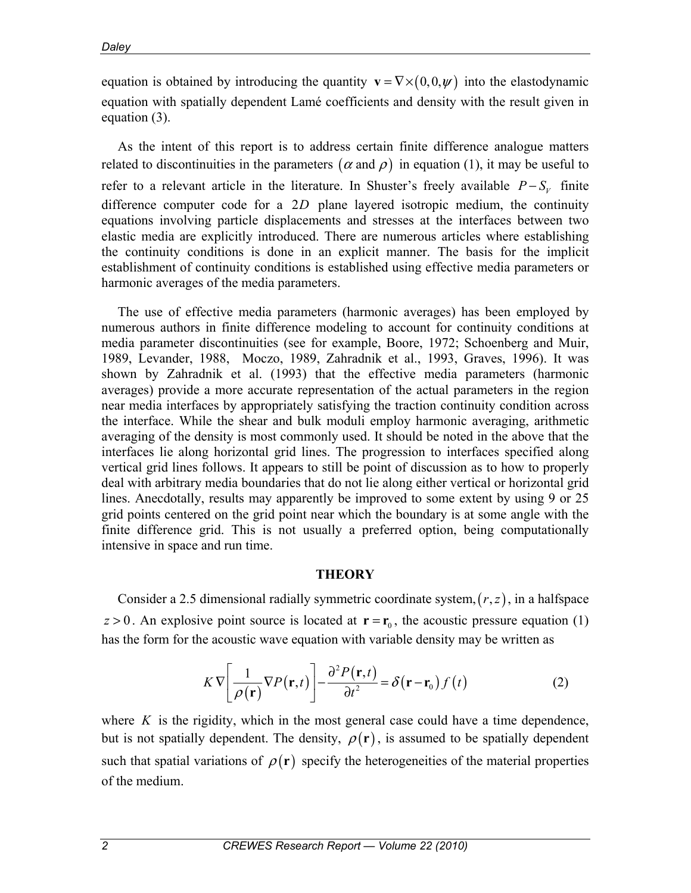equation is obtained by introducing the quantity  $\mathbf{v} = \nabla \times (0, 0, \psi)$  into the elastodynamic equation with spatially dependent Lamé coefficients and density with the result given in equation (3).

As the intent of this report is to address certain finite difference analogue matters related to discontinuities in the parameters  $(\alpha$  and  $\rho)$  in equation (1), it may be useful to refer to a relevant article in the literature. In Shuster's freely available  $P-S_v$  finite difference computer code for a 2*D* plane layered isotropic medium, the continuity equations involving particle displacements and stresses at the interfaces between two elastic media are explicitly introduced. There are numerous articles where establishing the continuity conditions is done in an explicit manner. The basis for the implicit establishment of continuity conditions is established using effective media parameters or harmonic averages of the media parameters.

The use of effective media parameters (harmonic averages) has been employed by numerous authors in finite difference modeling to account for continuity conditions at media parameter discontinuities (see for example, Boore, 1972; Schoenberg and Muir, 1989, Levander, 1988, Moczo, 1989, Zahradnik et al., 1993, Graves, 1996). It was shown by Zahradnik et al. (1993) that the effective media parameters (harmonic averages) provide a more accurate representation of the actual parameters in the region near media interfaces by appropriately satisfying the traction continuity condition across the interface. While the shear and bulk moduli employ harmonic averaging, arithmetic averaging of the density is most commonly used. It should be noted in the above that the interfaces lie along horizontal grid lines. The progression to interfaces specified along vertical grid lines follows. It appears to still be point of discussion as to how to properly deal with arbitrary media boundaries that do not lie along either vertical or horizontal grid lines. Anecdotally, results may apparently be improved to some extent by using 9 or 25 grid points centered on the grid point near which the boundary is at some angle with the finite difference grid. This is not usually a preferred option, being computationally intensive in space and run time.

#### **THEORY**

Consider a 2.5 dimensional radially symmetric coordinate system,  $(r, z)$ , in a halfspace  $z > 0$ . An explosive point source is located at  $\mathbf{r} = \mathbf{r}_0$ , the acoustic pressure equation (1) has the form for the acoustic wave equation with variable density may be written as

$$
K \nabla \left[ \frac{1}{\rho(\mathbf{r})} \nabla P(\mathbf{r}, t) \right] - \frac{\partial^2 P(\mathbf{r}, t)}{\partial t^2} = \delta(\mathbf{r} - \mathbf{r}_0) f(t)
$$
(2)

where  $K$  is the rigidity, which in the most general case could have a time dependence, but is not spatially dependent. The density,  $\rho(\mathbf{r})$ , is assumed to be spatially dependent such that spatial variations of  $\rho(\mathbf{r})$  specify the heterogeneities of the material properties of the medium.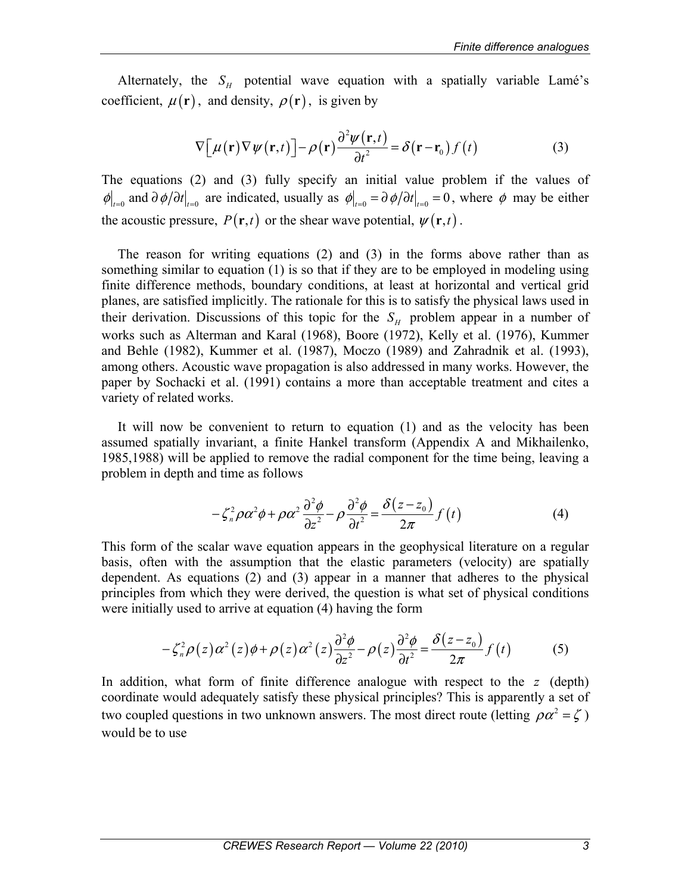Alternately, the  $S_H$  potential wave equation with a spatially variable Lamé's coefficient,  $\mu(\mathbf{r})$ , and density,  $\rho(\mathbf{r})$ , is given by

$$
\nabla \left[ \mu(\mathbf{r}) \nabla \psi(\mathbf{r}, t) \right] - \rho(\mathbf{r}) \frac{\partial^2 \psi(\mathbf{r}, t)}{\partial t^2} = \delta(\mathbf{r} - \mathbf{r}_0) f(t)
$$
(3)

The equations (2) and (3) fully specify an initial value problem if the values of  $\phi|_{t=0}$  and  $\partial \phi/\partial t|_{t=0}$  are indicated, usually as  $\phi|_{t=0} = \partial \phi/\partial t|_{t=0} = 0$ , where  $\phi$  may be either the acoustic pressure,  $P(\mathbf{r}, t)$  or the shear wave potential,  $\psi(\mathbf{r}, t)$ .

The reason for writing equations (2) and (3) in the forms above rather than as something similar to equation (1) is so that if they are to be employed in modeling using finite difference methods, boundary conditions, at least at horizontal and vertical grid planes, are satisfied implicitly. The rationale for this is to satisfy the physical laws used in their derivation. Discussions of this topic for the  $S_H$  problem appear in a number of works such as Alterman and Karal (1968), Boore (1972), Kelly et al. (1976), Kummer and Behle (1982), Kummer et al. (1987), Moczo (1989) and Zahradnik et al. (1993), among others. Acoustic wave propagation is also addressed in many works. However, the paper by Sochacki et al. (1991) contains a more than acceptable treatment and cites a variety of related works.

It will now be convenient to return to equation (1) and as the velocity has been assumed spatially invariant, a finite Hankel transform (Appendix A and Mikhailenko, 1985,1988) will be applied to remove the radial component for the time being, leaving a problem in depth and time as follows

$$
-\zeta_n^2 \rho \alpha^2 \phi + \rho \alpha^2 \frac{\partial^2 \phi}{\partial z^2} - \rho \frac{\partial^2 \phi}{\partial t^2} = \frac{\delta(z - z_0)}{2\pi} f(t)
$$
 (4)

This form of the scalar wave equation appears in the geophysical literature on a regular basis, often with the assumption that the elastic parameters (velocity) are spatially dependent. As equations (2) and (3) appear in a manner that adheres to the physical principles from which they were derived, the question is what set of physical conditions were initially used to arrive at equation (4) having the form

$$
-\zeta_n^2 \rho(z)\alpha^2(z)\phi + \rho(z)\alpha^2(z)\frac{\partial^2 \phi}{\partial z^2} - \rho(z)\frac{\partial^2 \phi}{\partial t^2} = \frac{\delta(z-z_0)}{2\pi}f(t)
$$
 (5)

In addition, what form of finite difference analogue with respect to the *z* (depth) coordinate would adequately satisfy these physical principles? This is apparently a set of two coupled questions in two unknown answers. The most direct route (letting  $\rho \alpha^2 = \zeta$ ) would be to use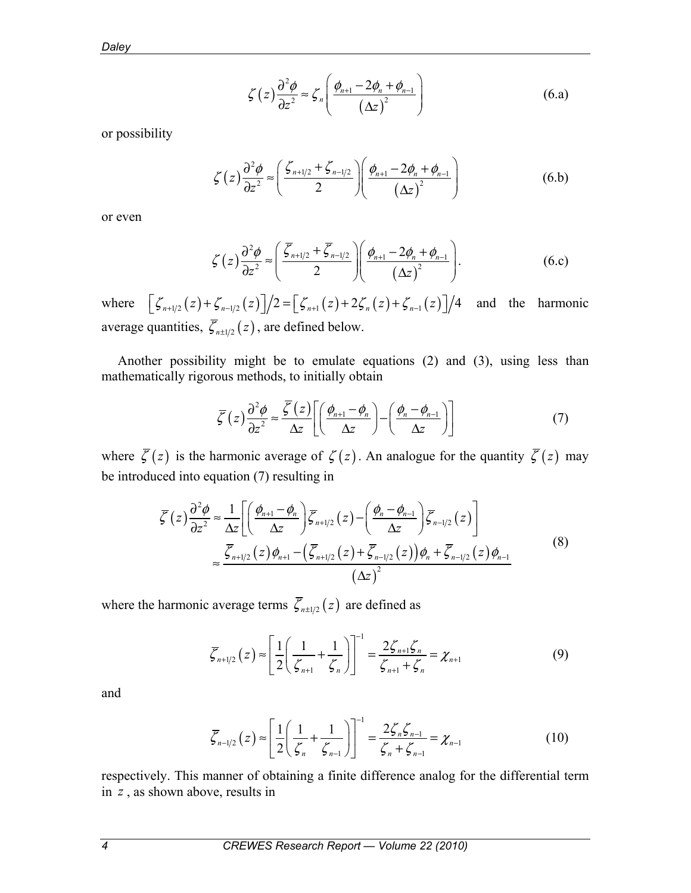*Daley* 

$$
\zeta(z)\frac{\partial^2 \phi}{\partial z^2} \approx \zeta_n \left( \frac{\phi_{n+1} - 2\phi_n + \phi_{n-1}}{\left(\Delta z\right)^2} \right) \tag{6. a}
$$

or possibility

$$
\zeta(z)\frac{\partial^2 \phi}{\partial z^2} \approx \left(\frac{\zeta_{n+1/2} + \zeta_{n-1/2}}{2}\right) \left(\frac{\phi_{n+1} - 2\phi_n + \phi_{n-1}}{(\Delta z)^2}\right)
$$
(6.b)

or even

$$
\zeta(z)\frac{\partial^2 \phi}{\partial z^2} \approx \left(\frac{\overline{\zeta}_{n+1/2} + \overline{\zeta}_{n-1/2}}{2}\right) \left(\frac{\phi_{n+1} - 2\phi_n + \phi_{n-1}}{(\Delta z)^2}\right). \tag{6.c}
$$

where  $\left[ \zeta_{n+1/2}(z) + \zeta_{n-1/2}(z) \right] / 2 = \left[ \zeta_{n+1}(z) + 2 \zeta_n(z) + \zeta_{n-1}(z) \right] / 4$  and the harmonic average quantities,  $\overline{\zeta}_{n \pm 1/2}(z)$ , are defined below.

Another possibility might be to emulate equations (2) and (3), using less than mathematically rigorous methods, to initially obtain

$$
\overline{\zeta}(z)\frac{\partial^2 \phi}{\partial z^2} \approx \frac{\overline{\zeta}(z)}{\Delta z} \left[ \left( \frac{\phi_{n+1} - \phi_n}{\Delta z} \right) - \left( \frac{\phi_n - \phi_{n-1}}{\Delta z} \right) \right]
$$
(7)

where  $\overline{\zeta}(z)$  is the harmonic average of  $\zeta(z)$ . An analogue for the quantity  $\overline{\zeta}(z)$  may be introduced into equation (7) resulting in

$$
\overline{\zeta}(z)\frac{\partial^2 \phi}{\partial z^2} \approx \frac{1}{\Delta z} \left[ \left( \frac{\phi_{n+1} - \phi_n}{\Delta z} \right) \overline{\zeta}_{n+1/2}(z) - \left( \frac{\phi_n - \phi_{n-1}}{\Delta z} \right) \overline{\zeta}_{n-1/2}(z) \right]
$$
  

$$
\approx \frac{\overline{\zeta}_{n+1/2}(z)\phi_{n+1} - \left( \overline{\zeta}_{n+1/2}(z) + \overline{\zeta}_{n-1/2}(z) \right) \phi_n + \overline{\zeta}_{n-1/2}(z) \phi_{n-1}}{\left( \Delta z \right)^2}
$$
(8)

where the harmonic average terms  $\overline{\zeta}_{n \pm 1/2}(z)$  are defined as

$$
\overline{\zeta}_{n+1/2}(z) \approx \left[ \frac{1}{2} \left( \frac{1}{\zeta_{n+1}} + \frac{1}{\zeta_n} \right) \right]^{-1} = \frac{2\zeta_{n+1}\zeta_n}{\zeta_{n+1} + \zeta_n} = \chi_{n+1}
$$
(9)

and

$$
\overline{\zeta}_{n-1/2}(z) \approx \left[ \frac{1}{2} \left( \frac{1}{\zeta_n} + \frac{1}{\zeta_{n-1}} \right) \right]^{-1} = \frac{2\zeta_n \zeta_{n-1}}{\zeta_n + \zeta_{n-1}} = \chi_{n-1}
$$
(10)

respectively. This manner of obtaining a finite difference analog for the differential term in *z* , as shown above, results in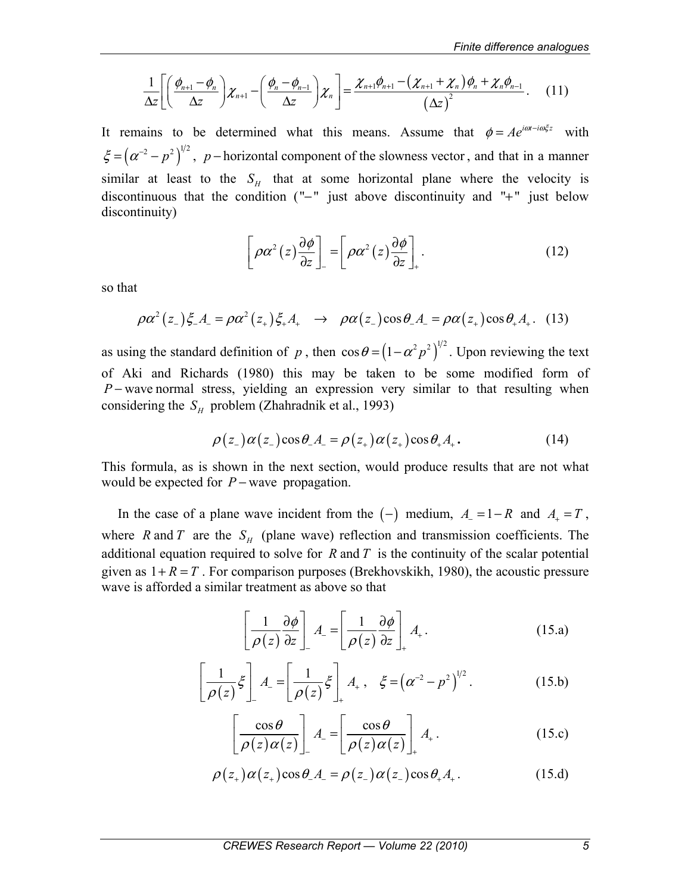$$
\frac{1}{\Delta z} \left[ \left( \frac{\phi_{n+1} - \phi_n}{\Delta z} \right) \chi_{n+1} - \left( \frac{\phi_n - \phi_{n-1}}{\Delta z} \right) \chi_n \right] = \frac{\chi_{n+1} \phi_{n+1} - (\chi_{n+1} + \chi_n) \phi_n + \chi_n \phi_{n-1}}{\left( \Delta z \right)^2} \,. \tag{11}
$$

It remains to be determined what this means. Assume that  $\phi = Ae^{i\omega t - i\omega \xi z}$  with  $\xi = (\alpha^{-2} - p^2)^{1/2}$ , p – horizontal component of the slowness vector, and that in a manner similar at least to the  $S_H$  that at some horizontal plane where the velocity is discontinuous that the condition (" $-$ " just above discontinuity and "+" just below discontinuity)

$$
\left[\rho\alpha^2(z)\frac{\partial\phi}{\partial z}\right]_-=\left[\rho\alpha^2(z)\frac{\partial\phi}{\partial z}\right]_+.
$$
 (12)

so that

$$
\rho \alpha^2 (z_-) \xi_- A_- = \rho \alpha^2 (z_+) \xi_+ A_+ \quad \to \quad \rho \alpha (z_-) \cos \theta_- A_- = \rho \alpha (z_+) \cos \theta_+ A_+ . \tag{13}
$$

as using the standard definition of *p*, then  $\cos \theta = (1 - \alpha^2 p^2)^{1/2}$ . Upon reviewing the text of Aki and Richards (1980) this may be taken to be some modified form of *P* − wave normal stress, yielding an expression very similar to that resulting when considering the  $S_H$  problem (Zhahradnik et al., 1993)

$$
\rho(z_{-})\alpha(z_{-})\cos\theta_{-}A_{-} = \rho(z_{+})\alpha(z_{+})\cos\theta_{+}A_{+}.
$$
 (14)

This formula, as is shown in the next section, would produce results that are not what would be expected for *P* − wave propagation.

In the case of a plane wave incident from the  $(-)$  medium,  $A = -R$  and  $A = T$ , where R and T are the  $S_H$  (plane wave) reflection and transmission coefficients. The additional equation required to solve for *R* and *T* is the continuity of the scalar potential given as  $1 + R = T$ . For comparison purposes (Brekhovskikh, 1980), the acoustic pressure wave is afforded a similar treatment as above so that

$$
\left[\frac{1}{\rho(z)}\frac{\partial\phi}{\partial z}\right]_A = \left[\frac{1}{\rho(z)}\frac{\partial\phi}{\partial z}\right]_A.
$$
 (15.a)

$$
\left[\frac{1}{\rho(z)}\xi\right]A_{-}=\left[\frac{1}{\rho(z)}\xi\right]_{+}A_{+},\quad \xi=\left(\alpha^{-2}-p^{2}\right)^{1/2}.
$$
 (15.b)

$$
\left[\frac{\cos\theta}{\rho(z)\alpha(z)}\right]_A = \left[\frac{\cos\theta}{\rho(z)\alpha(z)}\right]_A.
$$
 (15.c)

$$
\rho(z_+) \alpha(z_+) \cos \theta_- A_- = \rho(z_-) \alpha(z_-) \cos \theta_+ A_+.
$$
 (15.d)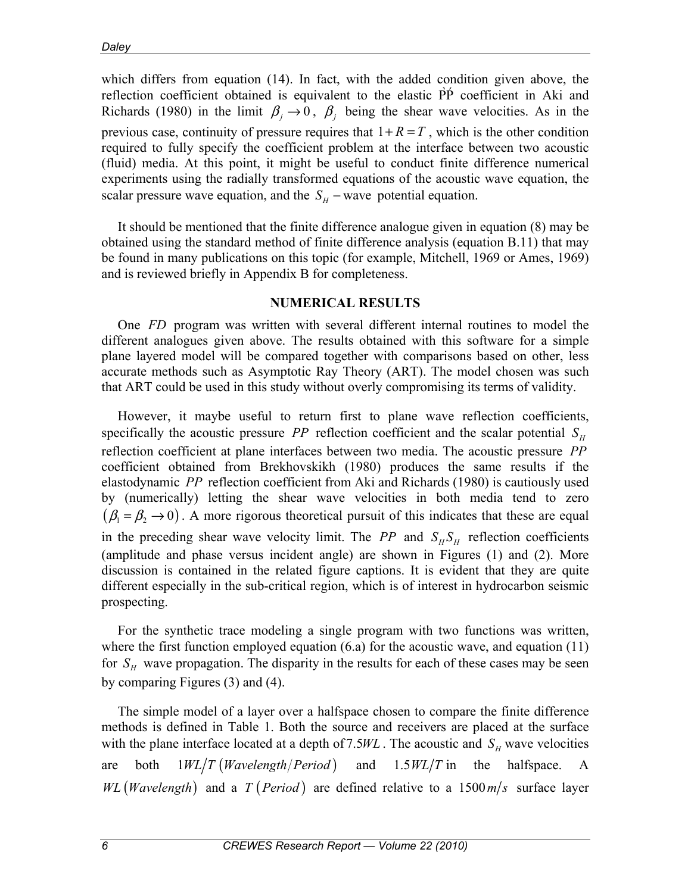which differs from equation (14). In fact, with the added condition given above, the reflection coefficient obtained is equivalent to the elastic PP coefficient in Aki and Richards (1980) in the limit  $\beta_i \rightarrow 0$ ,  $\beta_j$  being the shear wave velocities. As in the previous case, continuity of pressure requires that  $1 + R = T$ , which is the other condition required to fully specify the coefficient problem at the interface between two acoustic (fluid) media. At this point, it might be useful to conduct finite difference numerical experiments using the radially transformed equations of the acoustic wave equation, the scalar pressure wave equation, and the  $S_H$  – wave potential equation.

It should be mentioned that the finite difference analogue given in equation (8) may be obtained using the standard method of finite difference analysis (equation B.11) that may be found in many publications on this topic (for example, Mitchell, 1969 or Ames, 1969) and is reviewed briefly in Appendix B for completeness.

### **NUMERICAL RESULTS**

One *FD* program was written with several different internal routines to model the different analogues given above. The results obtained with this software for a simple plane layered model will be compared together with comparisons based on other, less accurate methods such as Asymptotic Ray Theory (ART). The model chosen was such that ART could be used in this study without overly compromising its terms of validity.

However, it maybe useful to return first to plane wave reflection coefficients, specifically the acoustic pressure *PP* reflection coefficient and the scalar potential  $S_H$ reflection coefficient at plane interfaces between two media. The acoustic pressure *PP* coefficient obtained from Brekhovskikh (1980) produces the same results if the elastodynamic *PP* reflection coefficient from Aki and Richards (1980) is cautiously used by (numerically) letting the shear wave velocities in both media tend to zero  $(\beta_1 = \beta_2 \rightarrow 0)$ . A more rigorous theoretical pursuit of this indicates that these are equal in the preceding shear wave velocity limit. The *PP* and  $S_H S_H$  reflection coefficients (amplitude and phase versus incident angle) are shown in Figures (1) and (2). More discussion is contained in the related figure captions. It is evident that they are quite different especially in the sub-critical region, which is of interest in hydrocarbon seismic prospecting.

For the synthetic trace modeling a single program with two functions was written, where the first function employed equation (6.a) for the acoustic wave, and equation (11) for  $S_H$  wave propagation. The disparity in the results for each of these cases may be seen by comparing Figures (3) and (4).

The simple model of a layer over a halfspace chosen to compare the finite difference methods is defined in Table 1. Both the source and receivers are placed at the surface with the plane interface located at a depth of 7.5 $WL$ . The acoustic and  $S_H$  wave velocities are both  $1WL/T$  (*Wavelength / Period*) and  $1.5WL/T$  in the halfspace. A *WL* (*Wavelength*) and a *T* (*Period*) are defined relative to a 1500 $m/s$  surface layer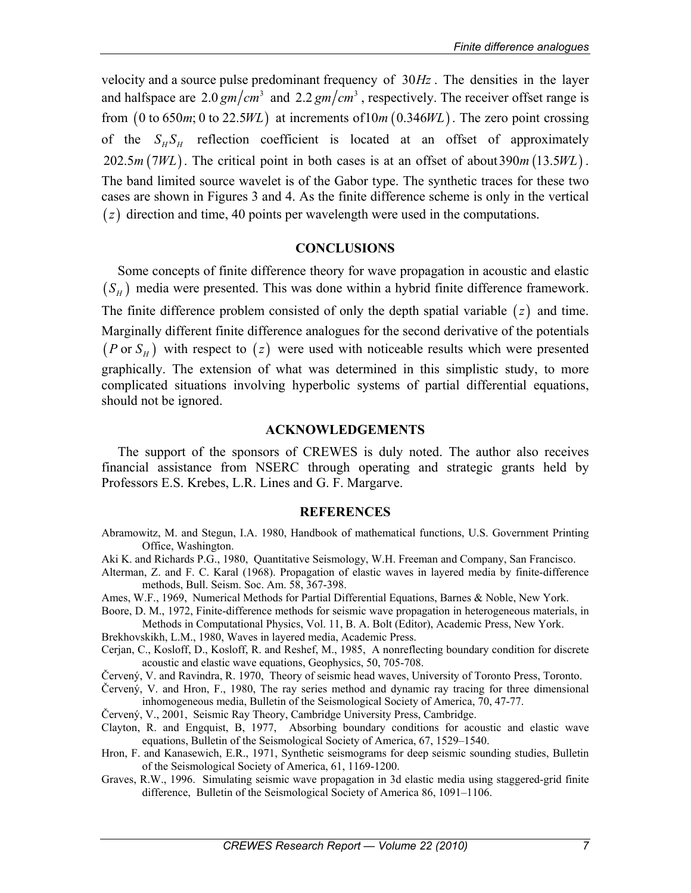velocity and a source pulse predominant frequency of  $30Hz$ . The densities in the layer and halfspace are  $2.0 \text{ gm/cm}^3$  and  $2.2 \text{ gm/cm}^3$ , respectively. The receiver offset range is from  $(0 \text{ to } 650m; 0 \text{ to } 22.5WL)$  at increments of  $10m (0.346WL)$ . The zero point crossing of the  $S_H S_H$  reflection coefficient is located at an offset of approximately  $202.5 m (7WL)$ . The critical point in both cases is at an offset of about 390 $m (13.5 WL)$ . The band limited source wavelet is of the Gabor type. The synthetic traces for these two cases are shown in Figures 3 and 4. As the finite difference scheme is only in the vertical  $(z)$  direction and time, 40 points per wavelength were used in the computations.

### **CONCLUSIONS**

Some concepts of finite difference theory for wave propagation in acoustic and elastic  $(S_H)$  media were presented. This was done within a hybrid finite difference framework. The finite difference problem consisted of only the depth spatial variable  $(z)$  and time. Marginally different finite difference analogues for the second derivative of the potentials ( $P \text{ or } S_H$ ) with respect to ( $z$ ) were used with noticeable results which were presented graphically. The extension of what was determined in this simplistic study, to more complicated situations involving hyperbolic systems of partial differential equations, should not be ignored.

### **ACKNOWLEDGEMENTS**

The support of the sponsors of CREWES is duly noted. The author also receives financial assistance from NSERC through operating and strategic grants held by Professors E.S. Krebes, L.R. Lines and G. F. Margarve.

#### **REFERENCES**

- Abramowitz, M. and Stegun, I.A. 1980, Handbook of mathematical functions, U.S. Government Printing Office, Washington.
- Aki K. and Richards P.G., 1980, Quantitative Seismology, W.H. Freeman and Company, San Francisco.
- Alterman, Z. and F. C. Karal (1968). Propagation of elastic waves in layered media by finite-difference methods, Bull. Seism. Soc. Am. 58, 367-398.
- Ames, W.F., 1969, Numerical Methods for Partial Differential Equations, Barnes & Noble, New York.
- Boore, D. M., 1972, Finite-difference methods for seismic wave propagation in heterogeneous materials, in Methods in Computational Physics, Vol. 11, B. A. Bolt (Editor), Academic Press, New York.

Brekhovskikh, L.M., 1980, Waves in layered media, Academic Press.

- Cerjan, C., Kosloff, D., Kosloff, R. and Reshef, M., 1985, A nonreflecting boundary condition for discrete acoustic and elastic wave equations, Geophysics, 50, 705-708.
- Červený, V. and Ravindra, R. 1970, Theory of seismic head waves, University of Toronto Press, Toronto.
- Červený, V. and Hron, F., 1980, The ray series method and dynamic ray tracing for three dimensional inhomogeneous media, Bulletin of the Seismological Society of America, 70, 47-77.
- Červený, V., 2001, Seismic Ray Theory, Cambridge University Press, Cambridge.
- Clayton, R. and Engquist, B, 1977, Absorbing boundary conditions for acoustic and elastic wave equations, Bulletin of the Seismological Society of America, 67, 1529–1540.
- Hron, F. and Kanasewich, E.R., 1971, Synthetic seismograms for deep seismic sounding studies, Bulletin of the Seismological Society of America, 61, 1169-1200.
- Graves, R.W., 1996. Simulating seismic wave propagation in 3d elastic media using staggered-grid finite difference, Bulletin of the Seismological Society of America 86, 1091–1106.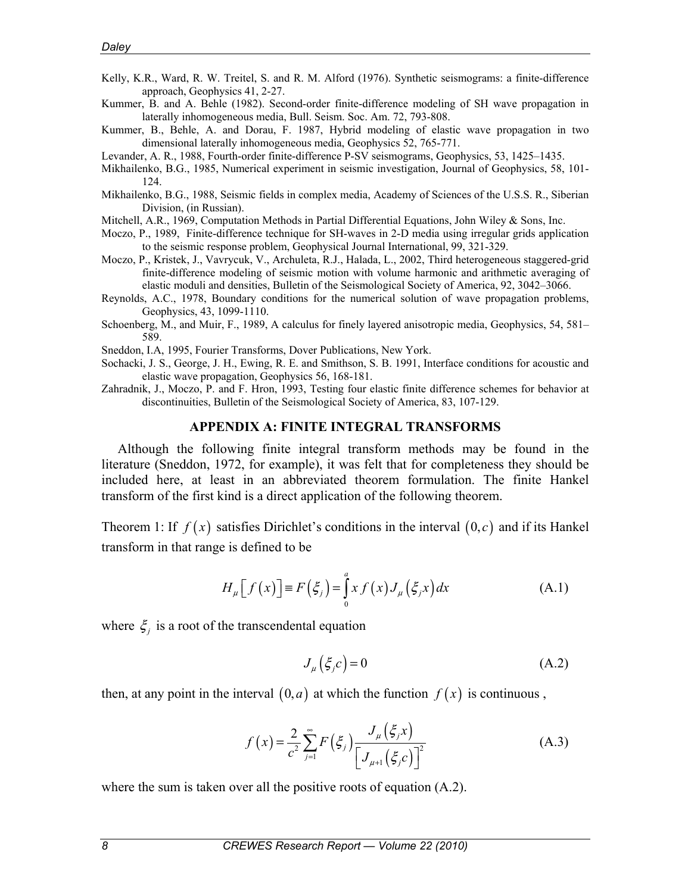- Kelly, K.R., Ward, R. W. Treitel, S. and R. M. Alford (1976). Synthetic seismograms: a finite-difference approach, Geophysics 41, 2-27.
- Kummer, B. and A. Behle (1982). Second-order finite-difference modeling of SH wave propagation in laterally inhomogeneous media, Bull. Seism. Soc. Am. 72, 793-808.
- Kummer, B., Behle, A. and Dorau, F. 1987, Hybrid modeling of elastic wave propagation in two dimensional laterally inhomogeneous media, Geophysics 52, 765-771.
- Levander, A. R., 1988, Fourth-order finite-difference P-SV seismograms, Geophysics, 53, 1425–1435.
- Mikhailenko, B.G., 1985, Numerical experiment in seismic investigation, Journal of Geophysics, 58, 101- 124.
- Mikhailenko, B.G., 1988, Seismic fields in complex media, Academy of Sciences of the U.S.S. R., Siberian Division, (in Russian).
- Mitchell, A.R., 1969, Computation Methods in Partial Differential Equations, John Wiley & Sons, Inc.
- Moczo, P., 1989, Finite-difference technique for SH-waves in 2-D media using irregular grids application to the seismic response problem, Geophysical Journal International, 99, 321-329.
- Moczo, P., Kristek, J., Vavrycuk, V., Archuleta, R.J., Halada, L., 2002, Third heterogeneous staggered-grid finite-difference modeling of seismic motion with volume harmonic and arithmetic averaging of elastic moduli and densities, Bulletin of the Seismological Society of America, 92, 3042–3066.
- Reynolds, A.C., 1978, Boundary conditions for the numerical solution of wave propagation problems, Geophysics, 43, 1099-1110.
- Schoenberg, M., and Muir, F., 1989, A calculus for finely layered anisotropic media, Geophysics, 54, 581– 589.
- Sneddon, I.A, 1995, Fourier Transforms, Dover Publications, New York.
- Sochacki, J. S., George, J. H., Ewing, R. E. and Smithson, S. B. 1991, Interface conditions for acoustic and elastic wave propagation, Geophysics 56, 168-181.
- Zahradnik, J., Moczo, P. and F. Hron, 1993, Testing four elastic finite difference schemes for behavior at discontinuities, Bulletin of the Seismological Society of America, 83, 107-129.

#### **APPENDIX A: FINITE INTEGRAL TRANSFORMS**

Although the following finite integral transform methods may be found in the literature (Sneddon, 1972, for example), it was felt that for completeness they should be included here, at least in an abbreviated theorem formulation. The finite Hankel transform of the first kind is a direct application of the following theorem.

Theorem 1: If  $f(x)$  satisfies Dirichlet's conditions in the interval  $(0, c)$  and if its Hankel transform in that range is defined to be

$$
H_{\mu}\left[f(x)\right] \equiv F\left(\xi_{j}\right) = \int_{0}^{a} x f(x) J_{\mu}\left(\xi_{j} x\right) dx \tag{A.1}
$$

where  $\xi$  is a root of the transcendental equation

$$
J_{\mu}\left(\xi_{j}c\right) = 0\tag{A.2}
$$

then, at any point in the interval  $(0, a)$  at which the function  $f(x)$  is continuous,

$$
f(x) = \frac{2}{c^2} \sum_{j=1}^{\infty} F(\xi_j) \frac{J_{\mu}(\xi_j x)}{\left[J_{\mu+1}(\xi_j c)\right]^2}
$$
 (A.3)

where the sum is taken over all the positive roots of equation  $(A.2)$ .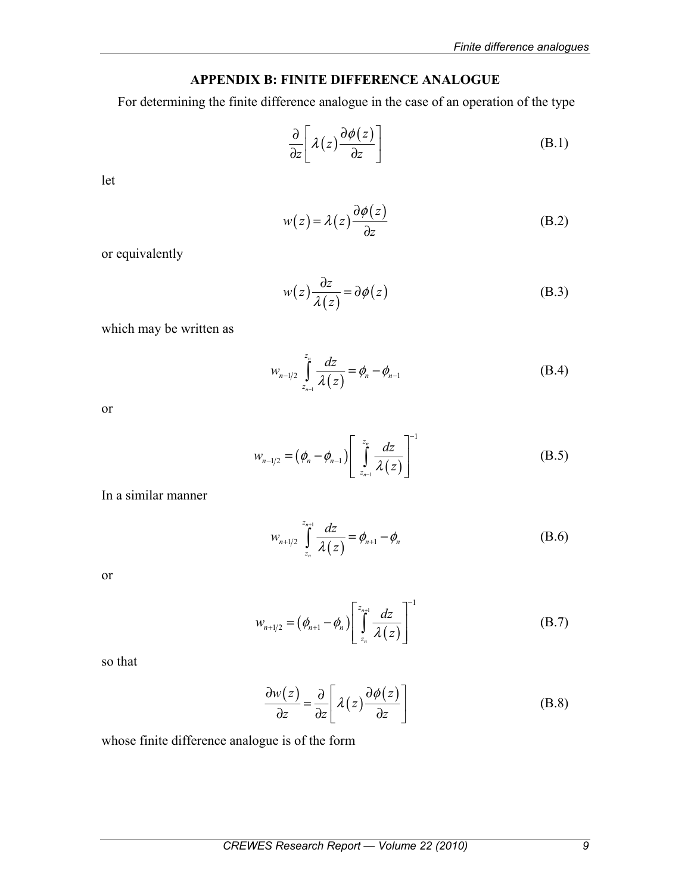# **APPENDIX B: FINITE DIFFERENCE ANALOGUE**

For determining the finite difference analogue in the case of an operation of the type

$$
\frac{\partial}{\partial z} \left[ \lambda(z) \frac{\partial \phi(z)}{\partial z} \right] \tag{B.1}
$$

let

$$
w(z) = \lambda(z) \frac{\partial \phi(z)}{\partial z}
$$
 (B.2)

or equivalently

$$
w(z)\frac{\partial z}{\partial(z)} = \partial\phi(z)
$$
 (B.3)

which may be written as

$$
w_{n-1/2} \int_{z_{n-1}}^{z_n} \frac{dz}{\lambda(z)} = \phi_n - \phi_{n-1}
$$
 (B.4)

or

$$
w_{n-1/2} = \left(\phi_n - \phi_{n-1}\right) \left[ \int_{z_{n-1}}^{z_n} \frac{dz}{\lambda(z)} \right]^{-1} \tag{B.5}
$$

In a similar manner

$$
w_{n+1/2} \int_{z_n}^{z_{n+1}} \frac{dz}{\lambda(z)} = \phi_{n+1} - \phi_n
$$
 (B.6)

or

$$
w_{n+1/2} = (\phi_{n+1} - \phi_n) \left[ \int_{z_n}^{z_{n+1}} \frac{dz}{\lambda(z)} \right]^{-1}
$$
 (B.7)

so that

$$
\frac{\partial w(z)}{\partial z} = \frac{\partial}{\partial z} \left[ \lambda(z) \frac{\partial \phi(z)}{\partial z} \right]
$$
 (B.8)

whose finite difference analogue is of the form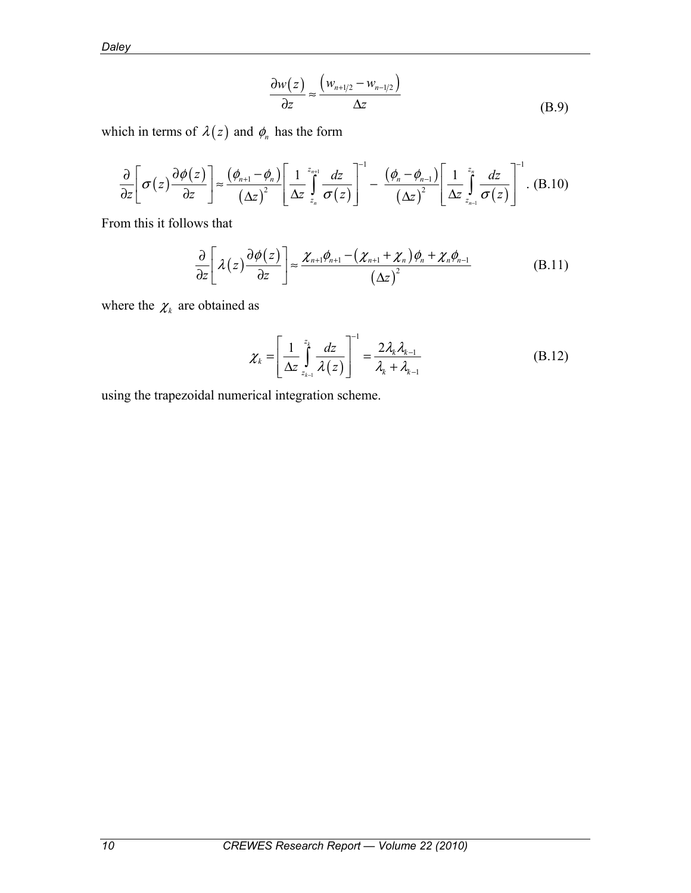*Daley* 

$$
\frac{\partial w(z)}{\partial z} \approx \frac{\left(w_{n+1/2} - w_{n-1/2}\right)}{\Delta z}
$$
(B.9)

which in terms of  $\lambda(z)$  and  $\phi_n$  has the form

$$
\frac{\partial}{\partial z}\left[\sigma(z)\frac{\partial\phi(z)}{\partial z}\right] \approx \frac{(\phi_{n+1}-\phi_n)}{(\Delta z)^2}\left[\frac{1}{\Delta z}\int_{z_n}^{z_{n+1}}\frac{dz}{\sigma(z)}\right]^{-1} - \frac{(\phi_n-\phi_{n-1})}{(\Delta z)^2}\left[\frac{1}{\Delta z}\int_{z_{n-1}}^{z_n}\frac{dz}{\sigma(z)}\right]^{-1}.
$$
 (B.10)

From this it follows that

$$
\frac{\partial}{\partial z}\left[\lambda(z)\frac{\partial\phi(z)}{\partial z}\right] \approx \frac{\chi_{n+1}\phi_{n+1} - (\chi_{n+1} + \chi_n)\phi_n + \chi_n\phi_{n-1}}{(\Delta z)^2}
$$
(B.11)

where the  $\chi_k$  are obtained as

$$
\chi_{k} = \left[\frac{1}{\Delta z} \int_{z_{k-1}}^{z_{k}} \frac{dz}{\lambda(z)}\right]^{-1} = \frac{2\lambda_{k}\lambda_{k-1}}{\lambda_{k} + \lambda_{k-1}}
$$
(B.12)

using the trapezoidal numerical integration scheme.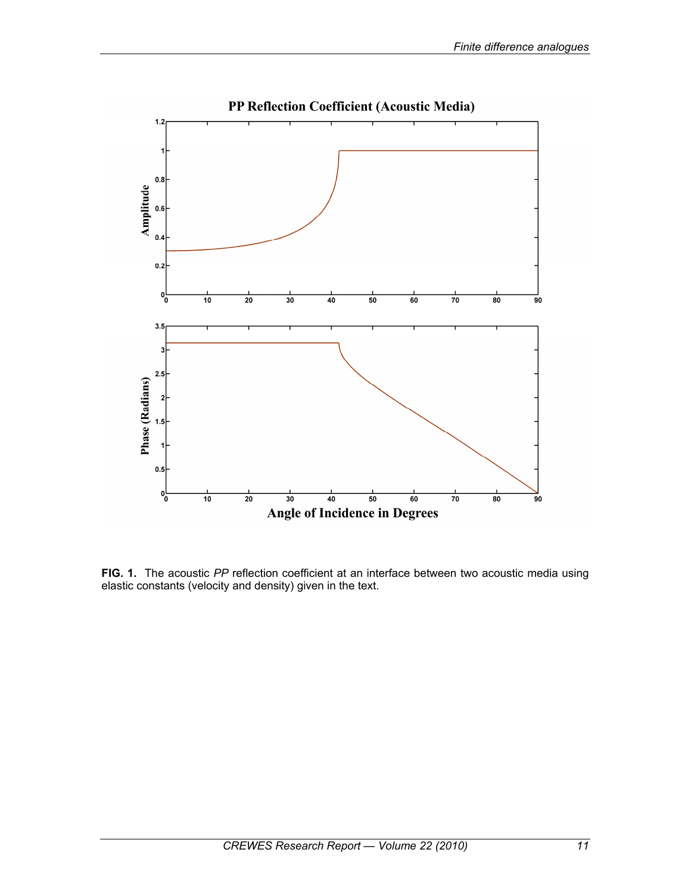

**FIG. 1.** The acoustic *PP* reflection coefficient at an interface between two acoustic media using elastic constants (velocity and density) given in the text.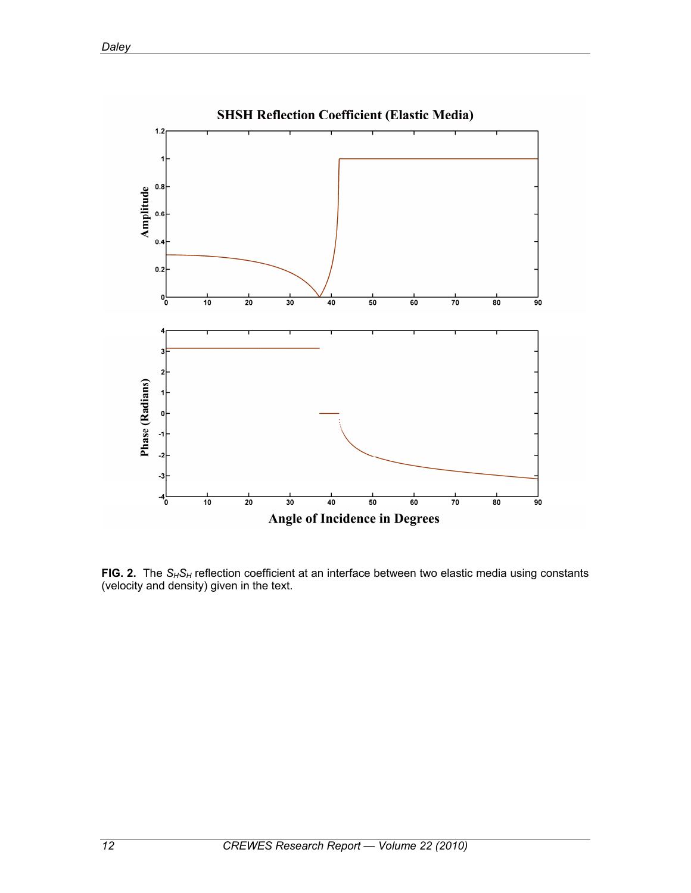

FIG. 2. The S<sub>H</sub>S<sub>H</sub> reflection coefficient at an interface between two elastic media using constants (velocity and density) given in the text.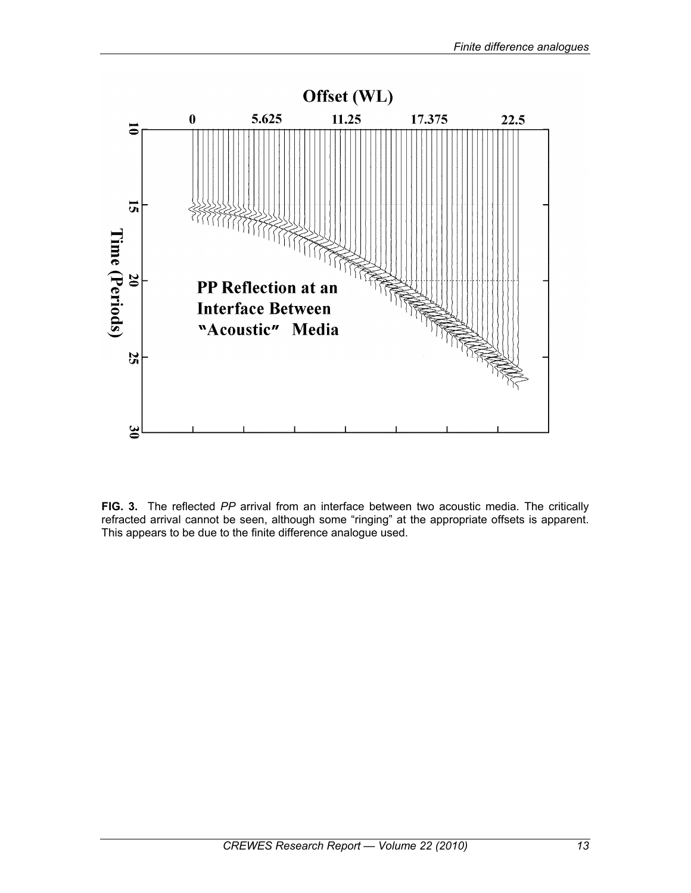

**FIG. 3.** The reflected *PP* arrival from an interface between two acoustic media. The critically refracted arrival cannot be seen, although some "ringing" at the appropriate offsets is apparent. This appears to be due to the finite difference analogue used.